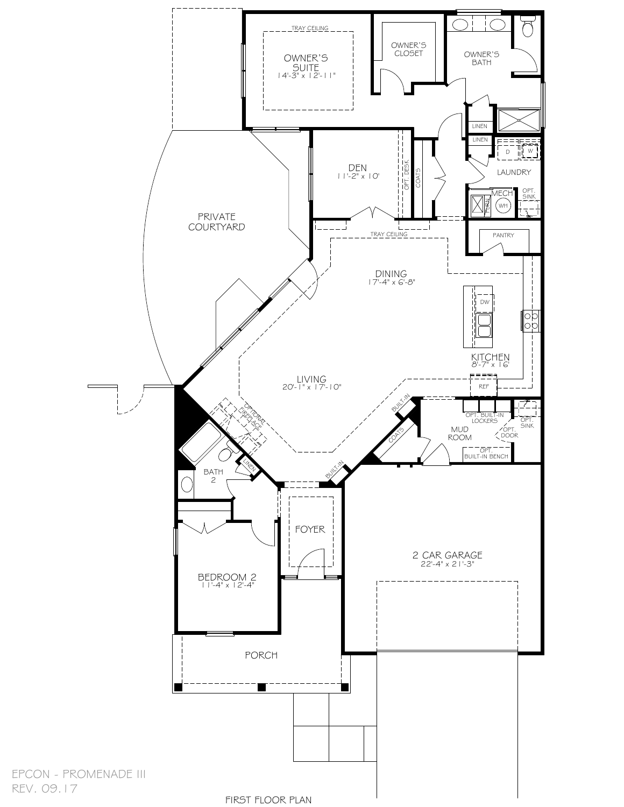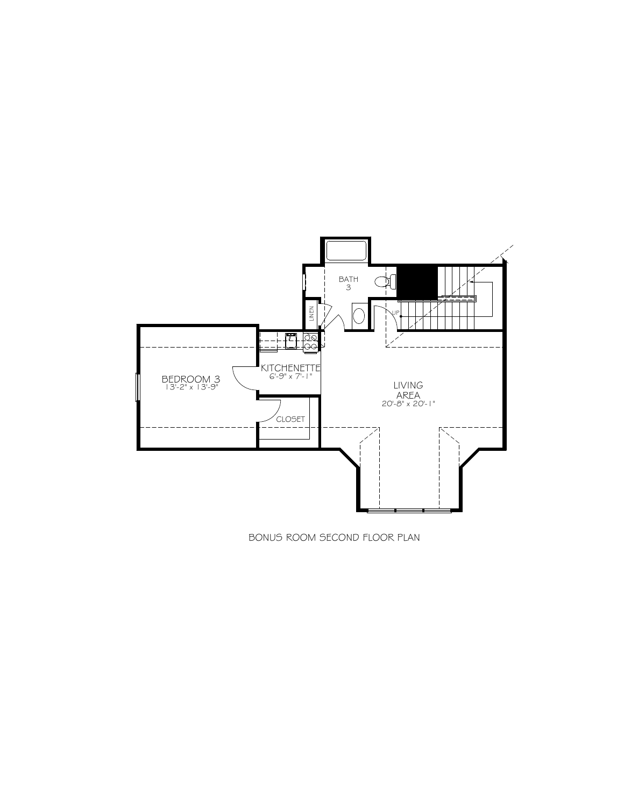

BONUS ROOM SECOND FLOOR PLAN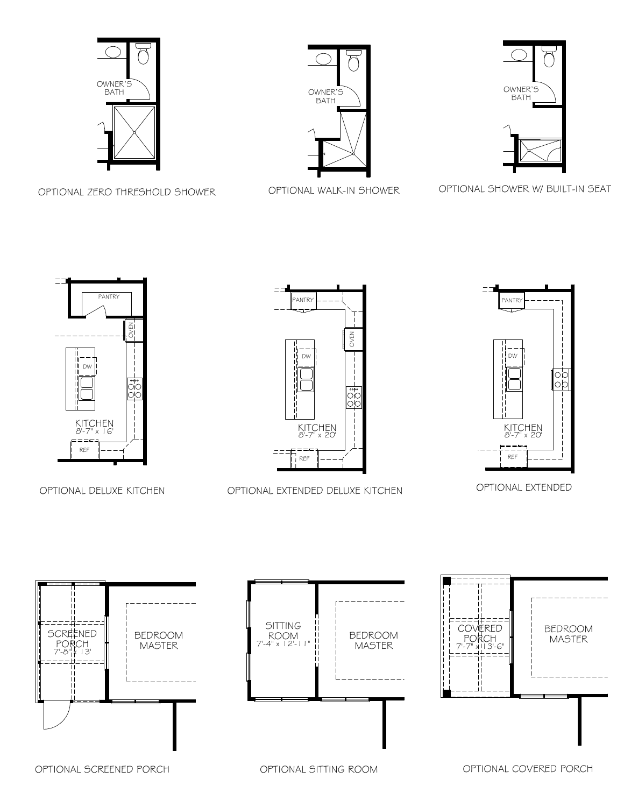

OPTIONAL ZERO THRESHOLD SHOWER







OPTIONAL SHOWER W/ BUILT-IN SEAT



OPTIONAL DELUXE KITCHEN





OPTIONAL EXTENDED